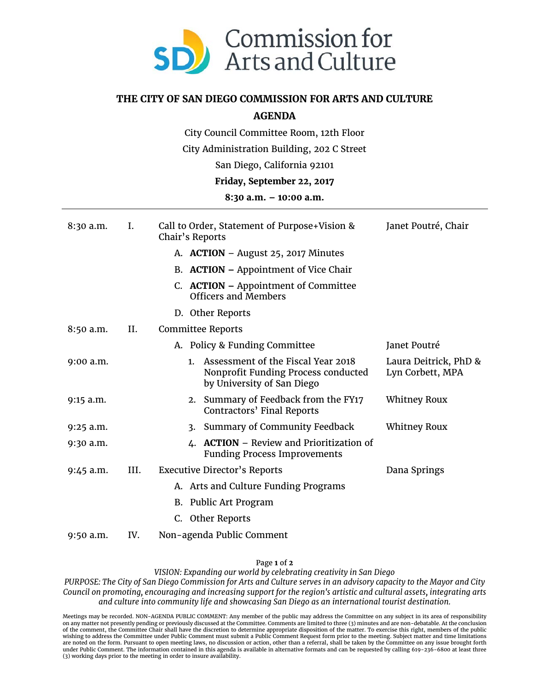

## **THE CITY OF SAN DIEGO COMMISSION FOR ARTS AND CULTURE**

## **AGENDA**

City Council Committee Room, 12th Floor

City Administration Building, 202 C Street

San Diego, California 92101

## **Friday, September 22, 2017**

## **8:30 a.m. – 10:00 a.m.**

| $8:30$ a.m. | L.   | Call to Order, Statement of Purpose+Vision &<br>Chair's Reports                                                        | Janet Poutré, Chair                       |
|-------------|------|------------------------------------------------------------------------------------------------------------------------|-------------------------------------------|
|             |      | A. ACTION – August 25, 2017 Minutes                                                                                    |                                           |
|             |      | B. ACTION – Appointment of Vice Chair                                                                                  |                                           |
|             |      | C. ACTION - Appointment of Committee<br><b>Officers and Members</b>                                                    |                                           |
|             |      | D. Other Reports                                                                                                       |                                           |
| 8:50 a.m.   | II.  | Committee Reports                                                                                                      |                                           |
|             |      | A. Policy & Funding Committee                                                                                          | Janet Poutré                              |
| 9:00 a.m.   |      | Assessment of the Fiscal Year 2018<br>$1_{\cdot}$<br>Nonprofit Funding Process conducted<br>by University of San Diego | Laura Deitrick, PhD &<br>Lyn Corbett, MPA |
| $9:15$ a.m. |      | 2. Summary of Feedback from the FY17<br>Contractors' Final Reports                                                     | <b>Whitney Roux</b>                       |
| $9:25$ a.m. |      | Summary of Community Feedback<br>3.                                                                                    | <b>Whitney Roux</b>                       |
| $9:30$ a.m. |      | <b>ACTION</b> – Review and Prioritization of<br>4.<br><b>Funding Process Improvements</b>                              |                                           |
| $9:45$ a.m. | III. | <b>Executive Director's Reports</b>                                                                                    | Dana Springs                              |
|             |      | A. Arts and Culture Funding Programs                                                                                   |                                           |
|             |      | B. Public Art Program                                                                                                  |                                           |
|             |      | C. Other Reports                                                                                                       |                                           |
| $9:50$ a.m. | IV.  | Non-agenda Public Comment                                                                                              |                                           |

Page **1** of **2**

*VISION: Expanding our world by celebrating creativity in San Diego*

*PURPOSE: The City of San Diego Commission for Arts and Culture serves in an advisory capacity to the Mayor and City Council on promoting, encouraging and increasing support for the region's artistic and cultural assets, integrating arts and culture into community life and showcasing San Diego as an international tourist destination.*

Meetings may be recorded. NON-AGENDA PUBLIC COMMENT: Any member of the public may address the Committee on any subject in its area of responsibility<br>on any matter not presently pending or previously discussed at the Commit wishing to address the Committee under Public Comment must submit a Public Comment Request form prior to the meeting. Subject matter and time limitations<br>are noted on the form. Pursuant to open meeting laws, no discussion under Public Comment. The information contained in this agenda is available in alternative formats and can be requested by calling 619-236-6800 at least three (3) working days prior to the meeting in order to insure availability.